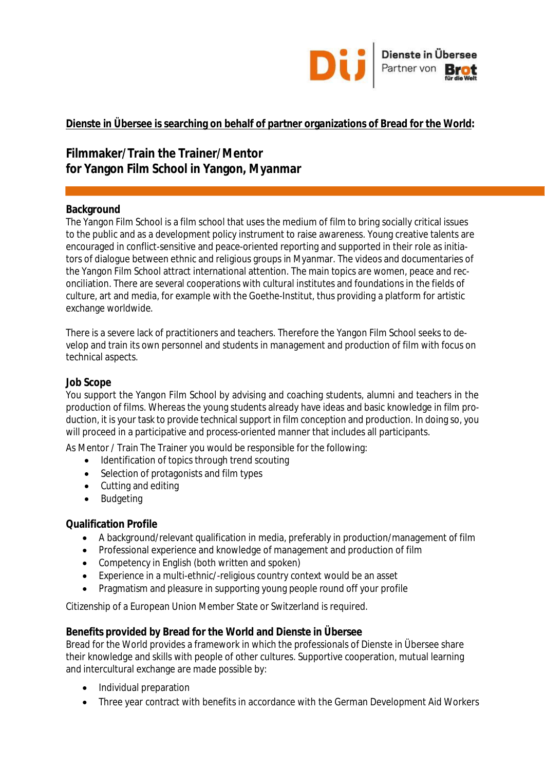

## **Dienste in Übersee is searching on behalf of partner organizations of Bread for the World:**

# **Filmmaker/Train the Trainer/Mentor for Yangon Film School in Yangon, Myanmar**

### **Background**

The Yangon Film School is a film school that uses the medium of film to bring socially critical issues to the public and as a development policy instrument to raise awareness. Young creative talents are encouraged in conflict-sensitive and peace-oriented reporting and supported in their role as initiators of dialogue between ethnic and religious groups in Myanmar. The videos and documentaries of the Yangon Film School attract international attention. The main topics are women, peace and reconciliation. There are several cooperations with cultural institutes and foundations in the fields of culture, art and media, for example with the Goethe-Institut, thus providing a platform for artistic exchange worldwide.

There is a severe lack of practitioners and teachers. Therefore the Yangon Film School seeks to develop and train its own personnel and students in management and production of film with focus on technical aspects.

#### **Job Scope**

You support the Yangon Film School by advising and coaching students, alumni and teachers in the production of films. Whereas the young students already have ideas and basic knowledge in film production, it is your task to provide technical support in film conception and production. In doing so, you will proceed in a participative and process-oriented manner that includes all participants.

As Mentor / Train The Trainer you would be responsible for the following:

- · Identification of topics through trend scouting
- · Selection of protagonists and film types
- · Cutting and editing
- · Budgeting

#### **Qualification Profile**

- · A background/relevant qualification in media, preferably in production/management of film
- · Professional experience and knowledge of management and production of film
- Competency in English (both written and spoken)
- · Experience in a multi-ethnic/-religious country context would be an asset
- · Pragmatism and pleasure in supporting young people round off your profile

Citizenship of a European Union Member State or Switzerland is required.

**Benefits provided by Bread for the World and Dienste in Übersee** Bread for the World provides a framework in which the professionals of Dienste in Übersee share their knowledge and skills with people of other cultures. Supportive cooperation, mutual learning and intercultural exchange are made possible by:

- · Individual preparation
- · Three year contract with benefits in accordance with the German Development Aid Workers